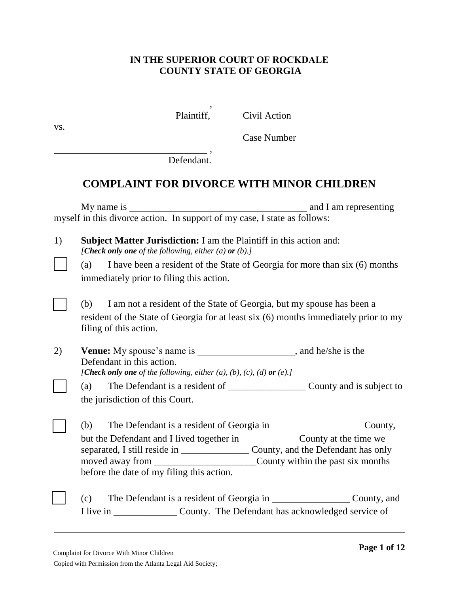# **IN THE SUPERIOR COURT OF ROCKDALE COUNTY STATE OF GEORGIA**

|     | Plaintiff,<br>Civil Action                                                                                                                                                                                                                                  |
|-----|-------------------------------------------------------------------------------------------------------------------------------------------------------------------------------------------------------------------------------------------------------------|
| VS. | <b>Case Number</b>                                                                                                                                                                                                                                          |
|     | Defendant.                                                                                                                                                                                                                                                  |
|     | <b>COMPLAINT FOR DIVORCE WITH MINOR CHILDREN</b>                                                                                                                                                                                                            |
|     |                                                                                                                                                                                                                                                             |
| 1)  | <b>Subject Matter Jurisdiction:</b> I am the Plaintiff in this action and:<br>[Check only one of the following, either (a) or (b).]                                                                                                                         |
|     | I have been a resident of the State of Georgia for more than six (6) months<br>(a)<br>immediately prior to filing this action.                                                                                                                              |
|     | I am not a resident of the State of Georgia, but my spouse has been a<br>(b)<br>resident of the State of Georgia for at least six (6) months immediately prior to my<br>filing of this action.                                                              |
| 2)  | Venue: My spouse's name is _______________________, and he/she is the<br>Defendant in this action.<br>[Check only one of the following, either $(a)$ , $(b)$ , $(c)$ , $(d)$ or $(e)$ .]                                                                    |
|     | the jurisdiction of this Court.                                                                                                                                                                                                                             |
|     | The Defendant is a resident of Georgia in ___________________________County,<br>(b)<br>County, and the Defendant has only<br>moved away from ________________________________County within the past six months<br>before the date of my filing this action. |
|     | The Defendant is a resident of Georgia in __________________________County, and<br>(c)<br>I live in ____________________ County. The Defendant has acknowledged service of                                                                                  |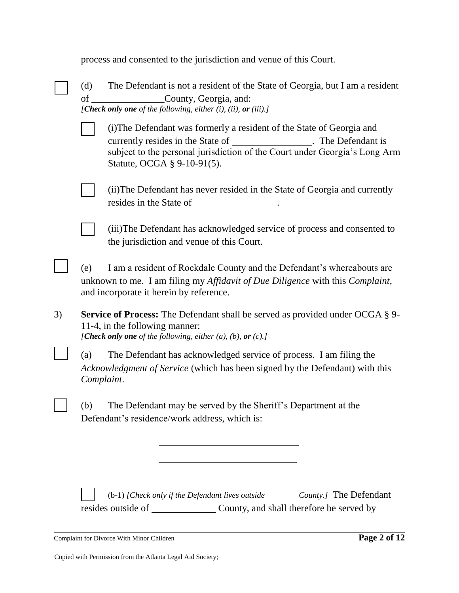|    |                   | process and consented to the jurisdiction and venue of this Court.                                                                                                                                                                          |
|----|-------------------|---------------------------------------------------------------------------------------------------------------------------------------------------------------------------------------------------------------------------------------------|
|    | (d)<br>of         | The Defendant is not a resident of the State of Georgia, but I am a resident<br>County, Georgia, and:<br>[Check only one of the following, either $(i)$ , $(ii)$ , or $(iii)$ .]                                                            |
|    |                   | (i) The Defendant was formerly a resident of the State of Georgia and<br>currently resides in the State of<br>The Defendant is<br>subject to the personal jurisdiction of the Court under Georgia's Long Arm<br>Statute, OCGA § 9-10-91(5). |
|    |                   | (ii) The Defendant has never resided in the State of Georgia and currently<br>resides in the State of ________________.                                                                                                                     |
|    |                   | (iii) The Defendant has acknowledged service of process and consented to<br>the jurisdiction and venue of this Court.                                                                                                                       |
|    | (e)               | I am a resident of Rockdale County and the Defendant's whereabouts are<br>unknown to me. I am filing my Affidavit of Due Diligence with this Complaint,<br>and incorporate it herein by reference.                                          |
| 3) |                   | <b>Service of Process:</b> The Defendant shall be served as provided under OCGA § 9-<br>11-4, in the following manner:<br>[Check only one of the following, either $(a)$ , $(b)$ , or $(c)$ .]                                              |
|    | (a)<br>Complaint. | The Defendant has acknowledged service of process. I am filing the<br>Acknowledgment of Service (which has been signed by the Defendant) with this                                                                                          |
|    | (b)               | The Defendant may be served by the Sheriff's Department at the<br>Defendant's residence/work address, which is:                                                                                                                             |
|    |                   | (b-1) [Check only if the Defendant lives outside ________ County.] The Defendant                                                                                                                                                            |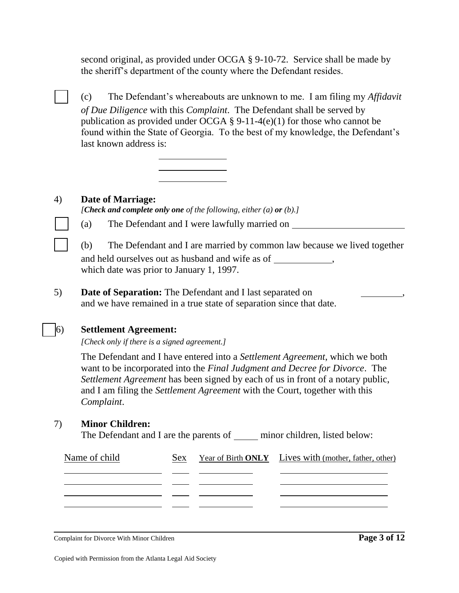second original, as provided under OCGA § 9-10-72. Service shall be made by the sheriff's department of the county where the Defendant resides.

□ (c) The Defendant's whereabouts are unknown to me. I am filing my *Affidavit of Due Diligence* with this *Complaint*. The Defendant shall be served by publication as provided under OCGA § 9-11-4(e)(1) for those who cannot be found within the State of Georgia. To the best of my knowledge, the Defendant's last known address is:



# 4) **Date of Marriage:**

*[Check and complete only one of the following, either (a) or (b).]*

□ (a) The Defendant and I were lawfully married on

□ (b) The Defendant and I are married by common law because we lived together and held ourselves out as husband and wife as of , which date was prior to January 1, 1997.

5) **Date of Separation:** The Defendant and I last separated on , and we have remained in a true state of separation since that date.

# □ 6) **Settlement Agreement:**

*[Check only if there is a signed agreement.]*

The Defendant and I have entered into a *Settlement Agreement*, which we both want to be incorporated into the *Final Judgment and Decree for Divorce*. The *Settlement Agreement* has been signed by each of us in front of a notary public, and I am filing the *Settlement Agreement* with the Court, together with this *Complaint*.

# 7) **Minor Children:**

The Defendant and I are the parents of minor children, listed below:

| Name of child | Sex | Year of Birth ONLY Lives with (mother, father, other) |
|---------------|-----|-------------------------------------------------------|
|               |     |                                                       |
|               |     |                                                       |
|               |     |                                                       |

Complaint for Divorce With Minor Children **Page 3 of 12**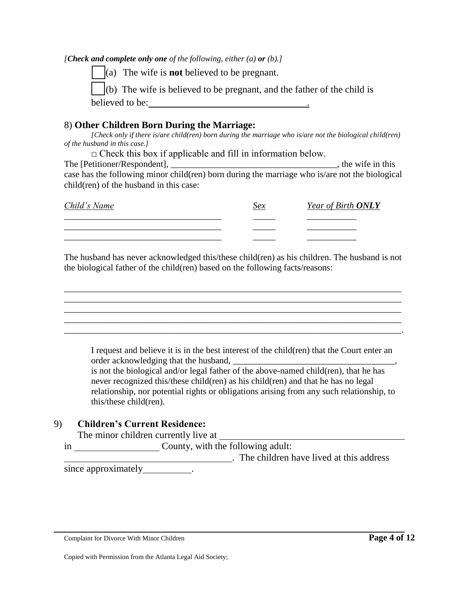*[Check and complete only one of the following, either (a) or (b).]*

□ (a) The wife is **not** believed to be pregnant.

(b) The wife is believed to be pregnant, and the father of the child is believed to be:

# 8) **Other Children Born During the Marriage:**

*[Check only if there is/are child(ren) born during the marriage who is/are not the biological child(ren) of the husband in this case.]* 

 $\Box$  Check this box if applicable and fill in information below.

The [Petitioner/Respondent], \_\_\_\_\_\_\_\_\_\_\_\_\_\_\_\_\_\_\_\_\_\_\_\_\_\_\_\_\_\_\_\_\_\_\_\_\_, the wife in this case has the following minor child(ren) born during the marriage who is/are not the biological child(ren) of the husband in this case:

| Child's Name | Sex | Year of Birth <b>ONLY</b> |
|--------------|-----|---------------------------|
|              |     | ______________            |
|              |     | ________________          |
|              |     | __________                |

The husband has never acknowledged this/these child(ren) as his children. The husband is not the biological father of the child(ren) based on the following facts/reasons:

\_\_\_\_\_\_\_\_\_\_\_\_\_\_\_\_\_\_\_\_\_\_\_\_\_\_\_\_\_\_\_\_\_\_\_\_\_\_\_\_\_\_\_\_\_\_\_\_\_\_\_\_\_\_\_\_\_\_\_\_\_\_\_\_\_\_\_\_\_\_\_\_\_\_\_ \_\_\_\_\_\_\_\_\_\_\_\_\_\_\_\_\_\_\_\_\_\_\_\_\_\_\_\_\_\_\_\_\_\_\_\_\_\_\_\_\_\_\_\_\_\_\_\_\_\_\_\_\_\_\_\_\_\_\_\_\_\_\_\_\_\_\_\_\_\_\_\_\_\_\_ \_\_\_\_\_\_\_\_\_\_\_\_\_\_\_\_\_\_\_\_\_\_\_\_\_\_\_\_\_\_\_\_\_\_\_\_\_\_\_\_\_\_\_\_\_\_\_\_\_\_\_\_\_\_\_\_\_\_\_\_\_\_\_\_\_\_\_\_\_\_\_\_\_\_\_ \_\_\_\_\_\_\_\_\_\_\_\_\_\_\_\_\_\_\_\_\_\_\_\_\_\_\_\_\_\_\_\_\_\_\_\_\_\_\_\_\_\_\_\_\_\_\_\_\_\_\_\_\_\_\_\_\_\_\_\_\_\_\_\_\_\_\_\_\_\_\_\_\_\_\_ \_\_\_\_\_\_\_\_\_\_\_\_\_\_\_\_\_\_\_\_\_\_\_\_\_\_\_\_\_\_\_\_\_\_\_\_\_\_\_\_\_\_\_\_\_\_\_\_\_\_\_\_\_\_\_\_\_\_\_\_\_\_\_\_\_\_\_\_\_\_\_\_\_\_\_.

I request and believe it is in the best interest of the child(ren) that the Court enter an order acknowledging that the husband,

is not the biological and/or legal father of the above-named child(ren), that he has never recognized this/these child(ren) as his child(ren) and that he has no legal relationship, nor potential rights or obligations arising from any such relationship, to this/these child(ren).

# 9) **Children's Current Residence:**

The minor children currently live at

| County, with the following adult:       |
|-----------------------------------------|
| The children have lived at this address |

since approximately  $\blacksquare$ 

Complaint for Divorce With Minor Children **Page 4 of 12**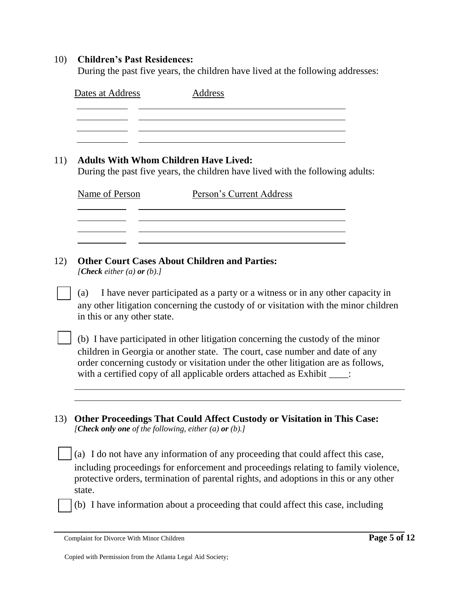### 10) **Children's Past Residences:**

During the past five years, the children have lived at the following addresses:

| Dates at Address | Address |  |
|------------------|---------|--|
|                  |         |  |
|                  |         |  |

# 11) **Adults With Whom Children Have Lived:**

During the past five years, the children have lived with the following adults:

| Name of Person | Person's Current Address |
|----------------|--------------------------|
|                |                          |
|                |                          |

# 12) **Other Court Cases About Children and Parties:**

*[Check either (a) or (b).]*

□ (a) I have never participated as a party or a witness or in any other capacity in any other litigation concerning the custody of or visitation with the minor children in this or any other state.

 $\mid$  (b) I have participated in other litigation concerning the custody of the minor children in Georgia or another state. The court, case number and date of any order concerning custody or visitation under the other litigation are as follows, with a certified copy of all applicable orders attached as Exhibit  $\qquad$ :

13) **Other Proceedings That Could Affect Custody or Visitation in This Case:** *[Check only one of the following, either (a) or (b).]*

 $\vert$  (a) I do not have any information of any proceeding that could affect this case, including proceedings for enforcement and proceedings relating to family violence, protective orders, termination of parental rights, and adoptions in this or any other state.

□ (b) I have information about a proceeding that could affect this case, including

Complaint for Divorce With Minor Children **Page 5 of 12**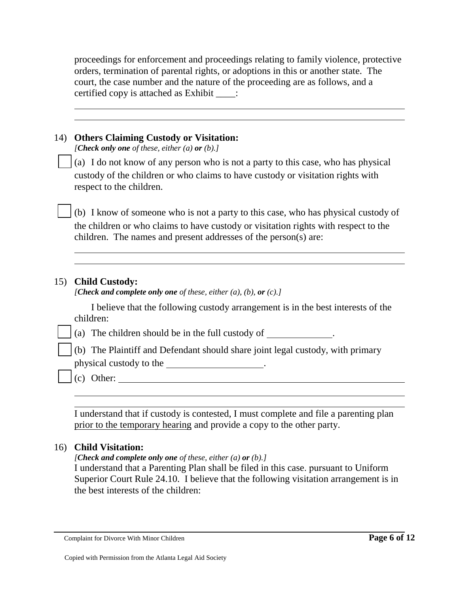proceedings for enforcement and proceedings relating to family violence, protective orders, termination of parental rights, or adoptions in this or another state. The court, the case number and the nature of the proceeding are as follows, and a certified copy is attached as Exhibit \_\_\_\_:

| 14) | <b>Others Claiming Custody or Visitation:</b><br>[Check only one of these, either (a) or (b).]                                                                                                                                               |
|-----|----------------------------------------------------------------------------------------------------------------------------------------------------------------------------------------------------------------------------------------------|
|     | (a) I do not know of any person who is not a party to this case, who has physical<br>custody of the children or who claims to have custody or visitation rights with<br>respect to the children.                                             |
|     | (b) I know of someone who is not a party to this case, who has physical custody of<br>the children or who claims to have custody or visitation rights with respect to the<br>children. The names and present addresses of the person(s) are: |
|     |                                                                                                                                                                                                                                              |
| 15) | <b>Child Custody:</b><br>[Check and complete only one of these, either $(a)$ , $(b)$ , or $(c)$ .]                                                                                                                                           |
|     | I believe that the following custody arrangement is in the best interests of the<br>children:                                                                                                                                                |
|     | (a) The children should be in the full custody of _____________.                                                                                                                                                                             |
|     | (b) The Plaintiff and Defendant should share joint legal custody, with primary                                                                                                                                                               |
|     | physical custody to the _____________________.                                                                                                                                                                                               |
|     | $(c)$ Other:                                                                                                                                                                                                                                 |
|     |                                                                                                                                                                                                                                              |
|     |                                                                                                                                                                                                                                              |

I understand that if custody is contested, I must complete and file a parenting plan prior to the temporary hearing and provide a copy to the other party.

# 16) **Child Visitation:**

*[Check and complete only one of these, either (a) or (b).]*

I understand that a Parenting Plan shall be filed in this case. pursuant to Uniform Superior Court Rule 24.10. I believe that the following visitation arrangement is in the best interests of the children:

Complaint for Divorce With Minor Children **Page 6 of 12**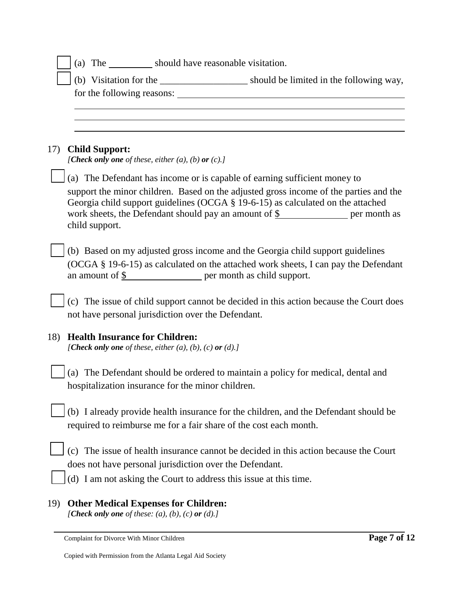|     | (a) The ____________ should have reasonable visitation.                                                                                                                                                                                                                     |
|-----|-----------------------------------------------------------------------------------------------------------------------------------------------------------------------------------------------------------------------------------------------------------------------------|
|     |                                                                                                                                                                                                                                                                             |
|     |                                                                                                                                                                                                                                                                             |
|     |                                                                                                                                                                                                                                                                             |
|     |                                                                                                                                                                                                                                                                             |
| 17) | <b>Child Support:</b><br>[Check only one of these, either (a), (b) or (c).]                                                                                                                                                                                                 |
|     | (a) The Defendant has income or is capable of earning sufficient money to                                                                                                                                                                                                   |
|     | support the minor children. Based on the adjusted gross income of the parties and the<br>Georgia child support guidelines (OCGA § 19-6-15) as calculated on the attached<br>work sheets, the Defendant should pay an amount of $\frac{1}{2}$ per month as<br>child support. |
|     | (b) Based on my adjusted gross income and the Georgia child support guidelines<br>(OCGA § 19-6-15) as calculated on the attached work sheets, I can pay the Defendant<br>an amount of $\frac{1}{2}$ per month as child support.                                             |
|     | (c) The issue of child support cannot be decided in this action because the Court does<br>not have personal jurisdiction over the Defendant.                                                                                                                                |
| 18) | <b>Health Insurance for Children:</b><br>[Check only one of these, either (a), (b), (c) or (d).]                                                                                                                                                                            |
|     | (a) The Defendant should be ordered to maintain a policy for medical, dental and<br>hospitalization insurance for the minor children.                                                                                                                                       |
|     | (b) I already provide health insurance for the children, and the Defendant should be<br>required to reimburse me for a fair share of the cost each month.                                                                                                                   |
|     | (c) The issue of health insurance cannot be decided in this action because the Court<br>does not have personal jurisdiction over the Defendant.<br>(d) I am not asking the Court to address this issue at this time.                                                        |
| 19) | <b>Other Medical Expenses for Children:</b><br>[Check only one of these: $(a)$ , $(b)$ , $(c)$ or $(d)$ .]                                                                                                                                                                  |

Complaint for Divorce With Minor Children **Page 7 of 12**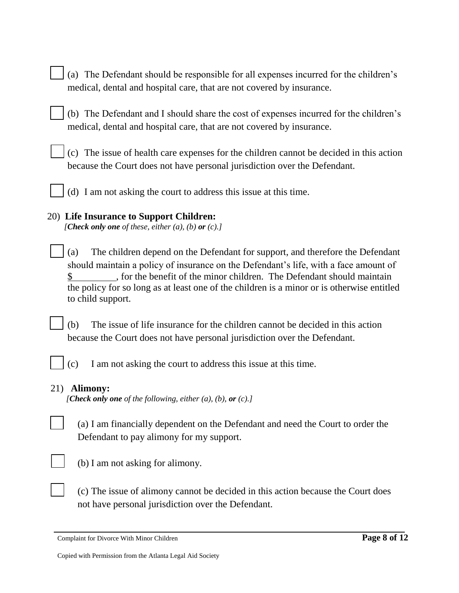| $\Box$ (a) The Defendant should be responsible for all expenses incurred for the children's |
|---------------------------------------------------------------------------------------------|
| medical, dental and hospital care, that are not covered by insurance.                       |

| $\vert$ (b) The Defendant and I should share the cost of expenses incurred for the children's |
|-----------------------------------------------------------------------------------------------|
| medical, dental and hospital care, that are not covered by insurance.                         |

|  | $\vert \cdot \vert$ (c) The issue of health care expenses for the children cannot be decided in this action |  |  |  |
|--|-------------------------------------------------------------------------------------------------------------|--|--|--|
|  | because the Court does not have personal jurisdiction over the Defendant.                                   |  |  |  |

 $\int$  (d) I am not asking the court to address this issue at this time.

# 20) **Life Insurance to Support Children:**

*[Check only one of these, either (a), (b) or (c).]*

 $\vert$  (a) The children depend on the Defendant for support, and therefore the Defendant should maintain a policy of insurance on the Defendant's life, with a face amount of \$ for the benefit of the minor children. The Defendant should maintain the policy for so long as at least one of the children is a minor or is otherwise entitled to child support.

□ (b) The issue of life insurance for the children cannot be decided in this action because the Court does not have personal jurisdiction over the Defendant.

 $\vert$  (c) I am not asking the court to address this issue at this time.

# 21) **Alimony:**

*[Check only one of the following, either (a), (b), or (c).]*





 $(b)$  I am not asking for alimony.

□ (c) The issue of alimony cannot be decided in this action because the Court does not have personal jurisdiction over the Defendant.

Complaint for Divorce With Minor Children **Page 8 of 12**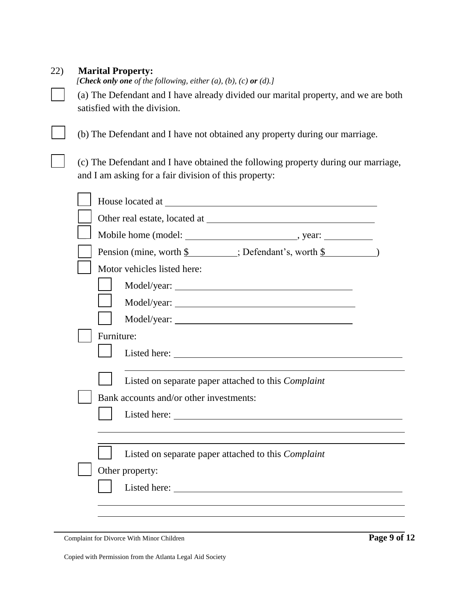| 22) |  | <b>Marital Property:</b> |
|-----|--|--------------------------|
|-----|--|--------------------------|

*[Check only one of the following, either (a), (b), (c) or (d).]*

□ (a) The Defendant and I have already divided our marital property, and we are both satisfied with the division.

□ (b) The Defendant and I have not obtained any property during our marriage.

□ (c) The Defendant and I have obtained the following property during our marriage, and I am asking for a fair division of this property:

| House located at the state of the state of the state of the state of the state of the state of the state of the state of the state of the state of the state of the state of the state of the state of the state of the state |  |
|-------------------------------------------------------------------------------------------------------------------------------------------------------------------------------------------------------------------------------|--|
|                                                                                                                                                                                                                               |  |
|                                                                                                                                                                                                                               |  |
| Pension (mine, worth \$ ; Defendant's, worth \$ )                                                                                                                                                                             |  |
| Motor vehicles listed here:                                                                                                                                                                                                   |  |
|                                                                                                                                                                                                                               |  |
|                                                                                                                                                                                                                               |  |
|                                                                                                                                                                                                                               |  |
| Furniture:                                                                                                                                                                                                                    |  |
|                                                                                                                                                                                                                               |  |
| Listed on separate paper attached to this <i>Complaint</i><br>Bank accounts and/or other investments:                                                                                                                         |  |
|                                                                                                                                                                                                                               |  |
|                                                                                                                                                                                                                               |  |
|                                                                                                                                                                                                                               |  |
| Listed on separate paper attached to this <i>Complaint</i>                                                                                                                                                                    |  |
| Other property:                                                                                                                                                                                                               |  |
|                                                                                                                                                                                                                               |  |
|                                                                                                                                                                                                                               |  |
|                                                                                                                                                                                                                               |  |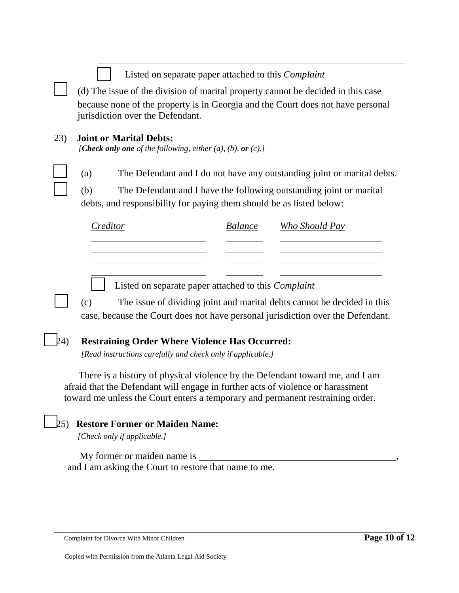|     | Listed on separate paper attached to this <i>Complaint</i><br>(d) The issue of the division of marital property cannot be decided in this case<br>because none of the property is in Georgia and the Court does not have personal<br>jurisdiction over the Defendant. |                |                                                                         |
|-----|-----------------------------------------------------------------------------------------------------------------------------------------------------------------------------------------------------------------------------------------------------------------------|----------------|-------------------------------------------------------------------------|
| 23) | <b>Joint or Marital Debts:</b><br>[Check only one of the following, either $(a)$ , $(b)$ , or $(c)$ .]                                                                                                                                                                |                |                                                                         |
|     | The Defendant and I do not have any outstanding joint or marital debts.<br>(a)<br>(b)<br>The Defendant and I have the following outstanding joint or marital<br>debts, and responsibility for paying them should be as listed below:                                  |                |                                                                         |
|     | Creditor                                                                                                                                                                                                                                                              | <b>Balance</b> | <b>Who Should Pay</b>                                                   |
|     |                                                                                                                                                                                                                                                                       |                |                                                                         |
|     | Listed on separate paper attached to this <i>Complaint</i><br>(c)<br>case, because the Court does not have personal jurisdiction over the Defendant.                                                                                                                  |                | The issue of dividing joint and marital debts cannot be decided in this |
| 24) | <b>Restraining Order Where Violence Has Occurred:</b>                                                                                                                                                                                                                 |                |                                                                         |

*[Read instructions carefully and check only if applicable.]*

 There is a history of physical violence by the Defendant toward me, and I am afraid that the Defendant will engage in further acts of violence or harassment toward me unless the Court enters a temporary and permanent restraining order.

# □ 25) **Restore Former or Maiden Name:**

*[Check only if applicable.]* 

My former or maiden name is \_ and I am asking the Court to restore that name to me.

Complaint for Divorce With Minor Children **Page 10 of 12**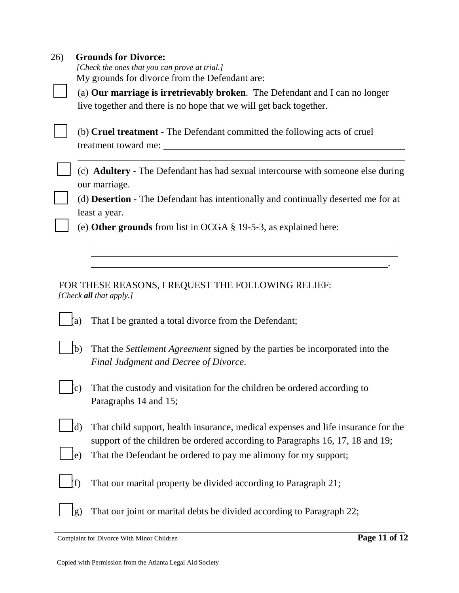| 26) | <b>Grounds for Divorce:</b><br>[Check the ones that you can prove at trial.]<br>My grounds for divorce from the Defendant are:                                            |  |  |
|-----|---------------------------------------------------------------------------------------------------------------------------------------------------------------------------|--|--|
|     | (a) Our marriage is irretrievably broken. The Defendant and I can no longer                                                                                               |  |  |
|     | live together and there is no hope that we will get back together.                                                                                                        |  |  |
|     | (b) Cruel treatment - The Defendant committed the following acts of cruel<br>treatment toward me:                                                                         |  |  |
|     | (c) Adultery - The Defendant has had sexual intercourse with someone else during<br>our marriage.                                                                         |  |  |
|     | (d) <b>Desertion</b> - The Defendant has intentionally and continually deserted me for at<br>least a year.                                                                |  |  |
|     | (e) Other grounds from list in OCGA $\S$ 19-5-3, as explained here:                                                                                                       |  |  |
|     |                                                                                                                                                                           |  |  |
|     |                                                                                                                                                                           |  |  |
|     | FOR THESE REASONS, I REQUEST THE FOLLOWING RELIEF:<br>[Check all that apply.]                                                                                             |  |  |
|     | That I be granted a total divorce from the Defendant;<br>(a)                                                                                                              |  |  |
|     | b)<br>That the <i>Settlement Agreement</i> signed by the parties be incorporated into the<br>Final Judgment and Decree of Divorce.                                        |  |  |
|     | That the custody and visitation for the children be ordered according to<br>(c)<br>Paragraphs 14 and 15;                                                                  |  |  |
|     | (d)<br>That child support, health insurance, medical expenses and life insurance for the<br>support of the children be ordered according to Paragraphs 16, 17, 18 and 19; |  |  |
|     | That the Defendant be ordered to pay me alimony for my support;<br>e)                                                                                                     |  |  |
|     | That our marital property be divided according to Paragraph 21;<br>f)                                                                                                     |  |  |
|     | That our joint or marital debts be divided according to Paragraph 22;<br>(g)                                                                                              |  |  |

Complaint for Divorce With Minor Children **Page 11 of 12**